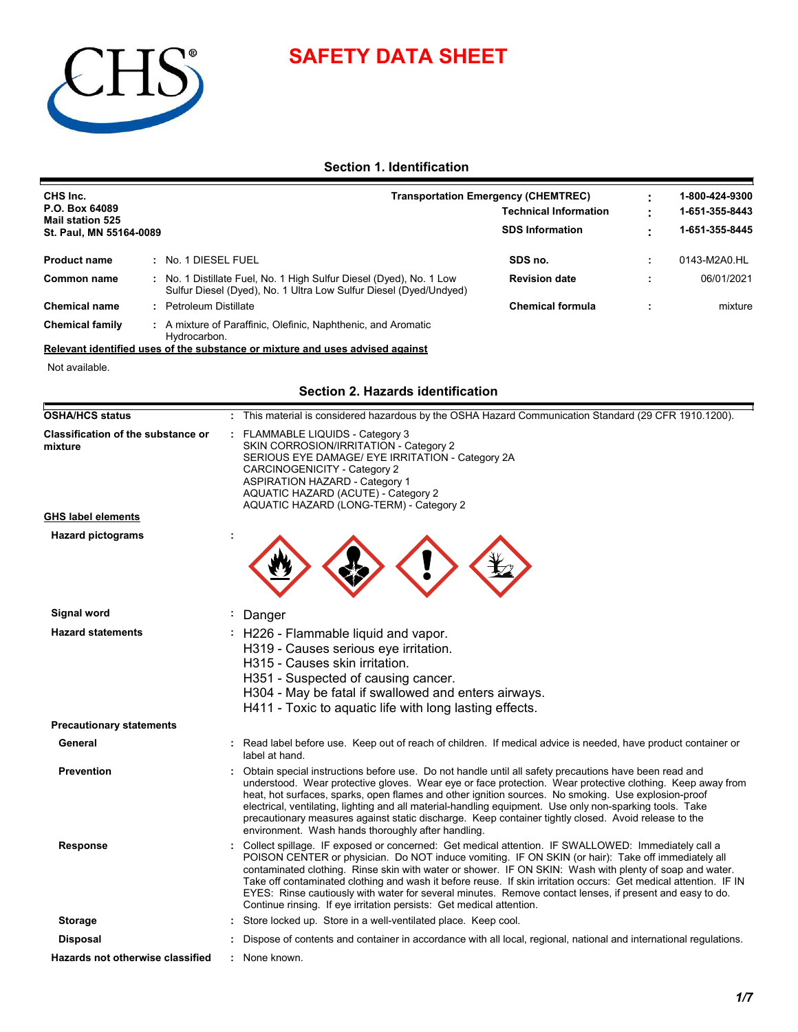# **SAFETY DATA SHEET**



# **Section 1. Identification**

| CHS Inc.                                  |                                                                                                                                          |                                                                            |  | 1-800-424-9300 |
|-------------------------------------------|------------------------------------------------------------------------------------------------------------------------------------------|----------------------------------------------------------------------------|--|----------------|
| P.O. Box 64089<br><b>Mail station 525</b> |                                                                                                                                          | <b>Transportation Emergency (CHEMTREC)</b><br><b>Technical Information</b> |  |                |
| St. Paul, MN 55164-0089                   |                                                                                                                                          | <b>SDS Information</b>                                                     |  | 1-651-355-8445 |
| <b>Product name</b>                       | : No. 1 DIESEL FUEL                                                                                                                      | SDS no.                                                                    |  | 0143-M2A0.HL   |
| Common name                               | : No. 1 Distillate Fuel, No. 1 High Sulfur Diesel (Dyed), No. 1 Low<br>Sulfur Diesel (Dyed), No. 1 Ultra Low Sulfur Diesel (Dyed/Undyed) | <b>Revision date</b>                                                       |  | 06/01/2021     |
| <b>Chemical name</b>                      | : Petroleum Distillate                                                                                                                   | <b>Chemical formula</b>                                                    |  | mixture        |
| <b>Chemical family</b>                    | : A mixture of Paraffinic, Olefinic, Naphthenic, and Aromatic<br>Hydrocarbon.                                                            |                                                                            |  |                |

# **Relevant identified uses of the substance or mixture and uses advised against**

Not available.

# **Section 2. Hazards identification**

| <b>OSHA/HCS status</b>                               | : This material is considered hazardous by the OSHA Hazard Communication Standard (29 CFR 1910.1200).                                                                                                                                                                                                                                                                                                                                                                                                                                                                                                                         |
|------------------------------------------------------|-------------------------------------------------------------------------------------------------------------------------------------------------------------------------------------------------------------------------------------------------------------------------------------------------------------------------------------------------------------------------------------------------------------------------------------------------------------------------------------------------------------------------------------------------------------------------------------------------------------------------------|
| <b>Classification of the substance or</b><br>mixture | : FLAMMABLE LIQUIDS - Category 3<br>SKIN CORROSION/IRRITATION - Category 2<br>SERIOUS EYE DAMAGE/ EYE IRRITATION - Category 2A<br>CARCINOGENICITY - Category 2<br><b>ASPIRATION HAZARD - Category 1</b><br>AQUATIC HAZARD (ACUTE) - Category 2<br>AQUATIC HAZARD (LONG-TERM) - Category 2                                                                                                                                                                                                                                                                                                                                     |
| <b>GHS label elements</b>                            |                                                                                                                                                                                                                                                                                                                                                                                                                                                                                                                                                                                                                               |
| <b>Hazard pictograms</b>                             |                                                                                                                                                                                                                                                                                                                                                                                                                                                                                                                                                                                                                               |
| Signal word                                          | Danger                                                                                                                                                                                                                                                                                                                                                                                                                                                                                                                                                                                                                        |
| <b>Hazard statements</b>                             | : H226 - Flammable liquid and vapor.<br>H319 - Causes serious eye irritation.<br>H315 - Causes skin irritation.<br>H351 - Suspected of causing cancer.<br>H304 - May be fatal if swallowed and enters airways.<br>H411 - Toxic to aquatic life with long lasting effects.                                                                                                                                                                                                                                                                                                                                                     |
| <b>Precautionary statements</b>                      |                                                                                                                                                                                                                                                                                                                                                                                                                                                                                                                                                                                                                               |
| General                                              | : Read label before use. Keep out of reach of children. If medical advice is needed, have product container or<br>label at hand.                                                                                                                                                                                                                                                                                                                                                                                                                                                                                              |
| <b>Prevention</b>                                    | : Obtain special instructions before use. Do not handle until all safety precautions have been read and<br>understood. Wear protective gloves. Wear eye or face protection. Wear protective clothing. Keep away from<br>heat, hot surfaces, sparks, open flames and other ignition sources. No smoking. Use explosion-proof<br>electrical, ventilating, lighting and all material-handling equipment. Use only non-sparking tools. Take<br>precautionary measures against static discharge. Keep container tightly closed. Avoid release to the<br>environment. Wash hands thoroughly after handling.                         |
| Response                                             | : Collect spillage. IF exposed or concerned: Get medical attention. IF SWALLOWED: Immediately call a<br>POISON CENTER or physician. Do NOT induce vomiting. IF ON SKIN (or hair): Take off immediately all<br>contaminated clothing. Rinse skin with water or shower. IF ON SKIN: Wash with plenty of soap and water.<br>Take off contaminated clothing and wash it before reuse. If skin irritation occurs: Get medical attention. IF IN<br>EYES: Rinse cautiously with water for several minutes. Remove contact lenses, if present and easy to do.<br>Continue rinsing. If eye irritation persists: Get medical attention. |
| <b>Storage</b>                                       | Store locked up. Store in a well-ventilated place. Keep cool.                                                                                                                                                                                                                                                                                                                                                                                                                                                                                                                                                                 |
| Disposal                                             | Dispose of contents and container in accordance with all local, regional, national and international regulations.                                                                                                                                                                                                                                                                                                                                                                                                                                                                                                             |
| <b>Hazards not otherwise classified</b>              | : None known.                                                                                                                                                                                                                                                                                                                                                                                                                                                                                                                                                                                                                 |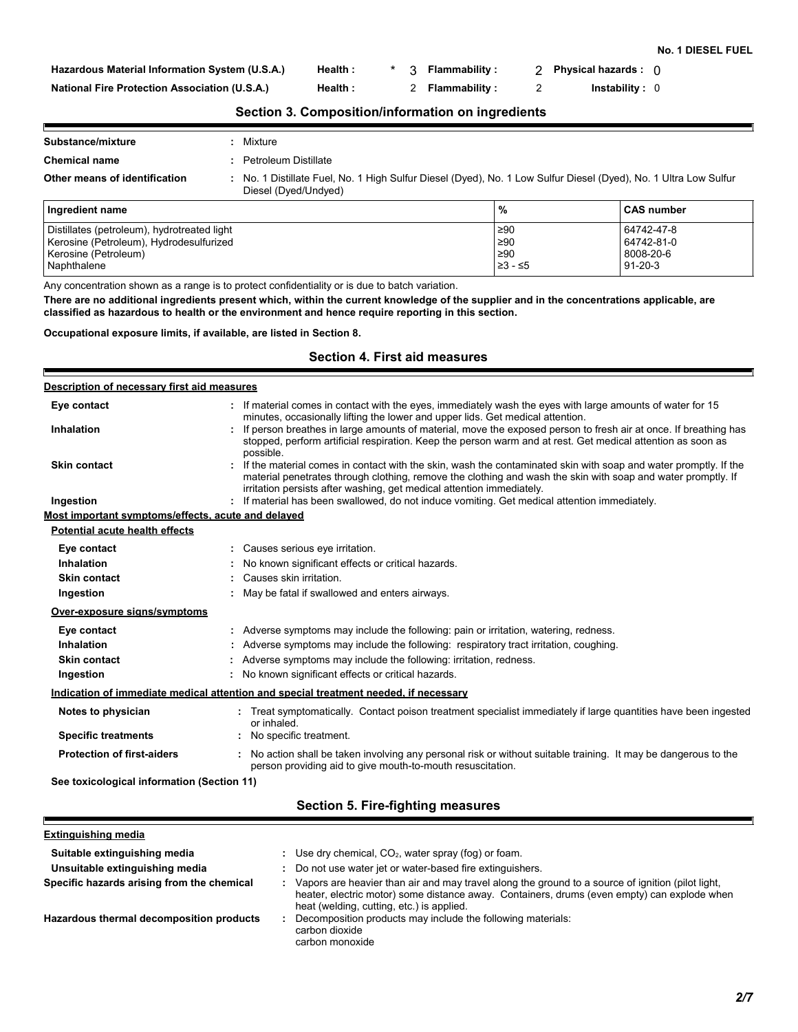**No. 1 DIESEL FUEL**

**Hazardous Material Information System (U.S.A.)**

**National Fire Protection Association (U.S.A.)**

**Health : \*** 3 **Flammability : 2** Physical hazards : 0

**Health :** 2 **Flammability :** 2 **Instability :** 0

**Section 3. Composition/information on ingredients**

| Substance/mixture             |                      | Mixture                                                                                                                                  |   |                   |
|-------------------------------|----------------------|------------------------------------------------------------------------------------------------------------------------------------------|---|-------------------|
| <b>Chemical name</b>          | Petroleum Distillate |                                                                                                                                          |   |                   |
| Other means of identification |                      | : No. 1 Distillate Fuel, No. 1 High Sulfur Diesel (Dyed), No. 1 Low Sulfur Diesel (Dyed), No. 1 Ultra Low Sulfur<br>Diesel (Dyed/Undyed) |   |                   |
| Ingredient name               |                      |                                                                                                                                          | % | <b>CAS number</b> |

|         | l CAS number  |
|---------|---------------|
| ≥90     | 64742-47-8    |
| ≥90     | 64742-81-0    |
| ≥90     | 8008-20-6     |
| ≥3 - ≤5 | $91 - 20 - 3$ |
|         | %             |

Any concentration shown as a range is to protect confidentiality or is due to batch variation.

**There are no additional ingredients present which, within the current knowledge of the supplier and in the concentrations applicable, are classified as hazardous to health or the environment and hence require reporting in this section.**

**Occupational exposure limits, if available, are listed in Section 8.**

# **Section 4. First aid measures**

| Description of necessary first aid measures        |                                                                                                                                                                                                                                                                                                          |
|----------------------------------------------------|----------------------------------------------------------------------------------------------------------------------------------------------------------------------------------------------------------------------------------------------------------------------------------------------------------|
| Eye contact                                        | If material comes in contact with the eyes, immediately wash the eyes with large amounts of water for 15<br>minutes, occasionally lifting the lower and upper lids. Get medical attention.                                                                                                               |
| Inhalation                                         | If person breathes in large amounts of material, move the exposed person to fresh air at once. If breathing has<br>stopped, perform artificial respiration. Keep the person warm and at rest. Get medical attention as soon as<br>possible.                                                              |
| <b>Skin contact</b>                                | If the material comes in contact with the skin, wash the contaminated skin with soap and water promptly. If the<br>material penetrates through clothing, remove the clothing and wash the skin with soap and water promptly. If<br>irritation persists after washing, get medical attention immediately. |
| Ingestion                                          | If material has been swallowed, do not induce vomiting. Get medical attention immediately.                                                                                                                                                                                                               |
| Most important symptoms/effects, acute and delayed |                                                                                                                                                                                                                                                                                                          |
| Potential acute health effects                     |                                                                                                                                                                                                                                                                                                          |
| Eye contact                                        | Causes serious eye irritation.                                                                                                                                                                                                                                                                           |
| Inhalation                                         | No known significant effects or critical hazards.                                                                                                                                                                                                                                                        |
| <b>Skin contact</b>                                | Causes skin irritation.                                                                                                                                                                                                                                                                                  |
| Ingestion                                          | May be fatal if swallowed and enters airways.                                                                                                                                                                                                                                                            |
| Over-exposure signs/symptoms                       |                                                                                                                                                                                                                                                                                                          |
| Eye contact                                        | : Adverse symptoms may include the following: pain or irritation, watering, redness.                                                                                                                                                                                                                     |
| Inhalation                                         | Adverse symptoms may include the following: respiratory tract irritation, coughing.                                                                                                                                                                                                                      |
| <b>Skin contact</b>                                | Adverse symptoms may include the following: irritation, redness.                                                                                                                                                                                                                                         |
| Ingestion                                          | : No known significant effects or critical hazards.                                                                                                                                                                                                                                                      |
|                                                    | Indication of immediate medical attention and special treatment needed, if necessary                                                                                                                                                                                                                     |
| Notes to physician                                 | : Treat symptomatically. Contact poison treatment specialist immediately if large quantities have been ingested<br>or inhaled.                                                                                                                                                                           |
| <b>Specific treatments</b>                         | No specific treatment.                                                                                                                                                                                                                                                                                   |
| <b>Protection of first-aiders</b>                  | No action shall be taken involving any personal risk or without suitable training. It may be dangerous to the<br>person providing aid to give mouth-to-mouth resuscitation.                                                                                                                              |
| See toxicological information (Section 11)         |                                                                                                                                                                                                                                                                                                          |
|                                                    |                                                                                                                                                                                                                                                                                                          |

**Section 5. Fire-fighting measures**

| Extinguishing media |
|---------------------|
|---------------------|

F

| Suitable extinguishing media               | Use dry chemical, $CO2$ , water spray (fog) or foam.                                                                                                                                                                                          |
|--------------------------------------------|-----------------------------------------------------------------------------------------------------------------------------------------------------------------------------------------------------------------------------------------------|
| Unsuitable extinguishing media             | Do not use water jet or water-based fire extinguishers.                                                                                                                                                                                       |
| Specific hazards arising from the chemical | Vapors are heavier than air and may travel along the ground to a source of ignition (pilot light,<br>heater, electric motor) some distance away. Containers, drums (even empty) can explode when<br>heat (welding, cutting, etc.) is applied. |
| Hazardous thermal decomposition products   | Decomposition products may include the following materials:<br>carbon dioxide<br>carbon monoxide                                                                                                                                              |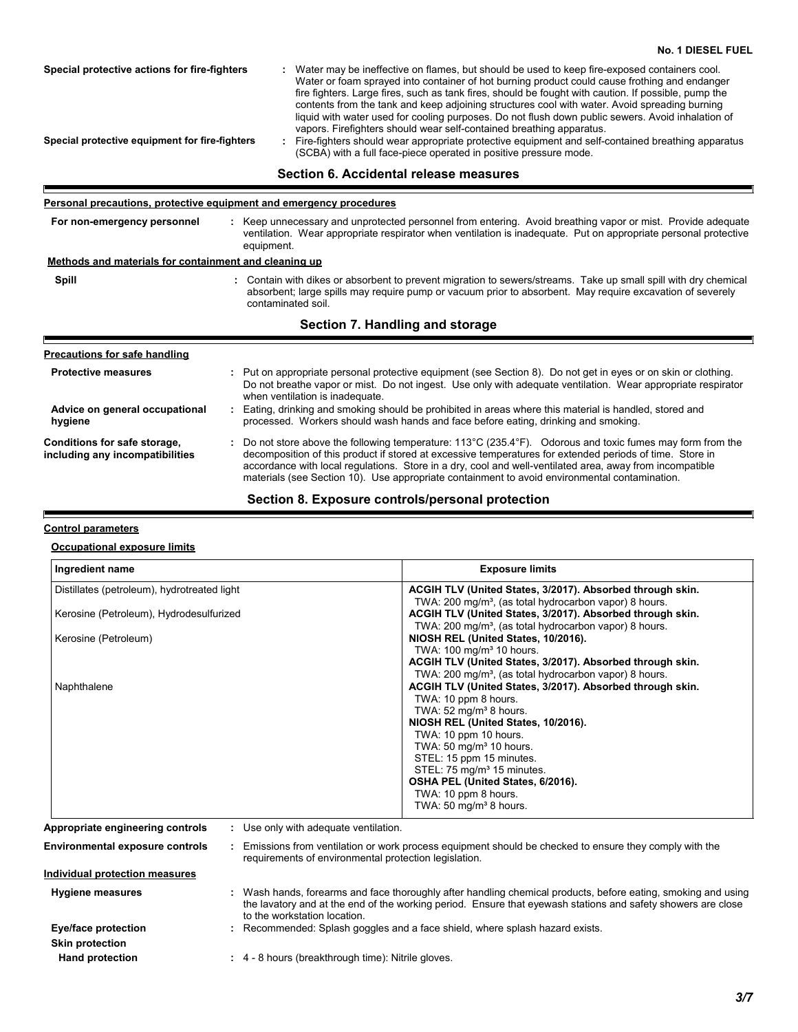|                                                                 | r ei sonar precaduons, protective equipment and emergency procedures                                                                                                                                                                                                                                                                                                                                                                                     |
|-----------------------------------------------------------------|----------------------------------------------------------------------------------------------------------------------------------------------------------------------------------------------------------------------------------------------------------------------------------------------------------------------------------------------------------------------------------------------------------------------------------------------------------|
| For non-emergency personnel                                     | : Keep unnecessary and unprotected personnel from entering. Avoid breathing vapor or mist. Provide adequate<br>ventilation. Wear appropriate respirator when ventilation is inadequate. Put on appropriate personal protective<br>equipment.                                                                                                                                                                                                             |
| Methods and materials for containment and cleaning up           |                                                                                                                                                                                                                                                                                                                                                                                                                                                          |
| Spill                                                           | : Contain with dikes or absorbent to prevent migration to sewers/streams. Take up small spill with dry chemical<br>absorbent; large spills may require pump or vacuum prior to absorbent. May require excavation of severely<br>contaminated soil.                                                                                                                                                                                                       |
|                                                                 | Section 7. Handling and storage                                                                                                                                                                                                                                                                                                                                                                                                                          |
|                                                                 |                                                                                                                                                                                                                                                                                                                                                                                                                                                          |
| <b>Precautions for safe handling</b>                            |                                                                                                                                                                                                                                                                                                                                                                                                                                                          |
| <b>Protective measures</b>                                      | : Put on appropriate personal protective equipment (see Section 8). Do not get in eyes or on skin or clothing.<br>Do not breathe vapor or mist. Do not ingest. Use only with adequate ventilation. Wear appropriate respirator<br>when ventilation is inadequate.                                                                                                                                                                                        |
| Advice on general occupational<br>hygiene                       | : Eating, drinking and smoking should be prohibited in areas where this material is handled, stored and<br>processed. Workers should wash hands and face before eating, drinking and smoking.                                                                                                                                                                                                                                                            |
| Conditions for safe storage,<br>including any incompatibilities | : Do not store above the following temperature: $113^{\circ}$ C (235.4 $^{\circ}$ F). Odorous and toxic fumes may form from the<br>decomposition of this product if stored at excessive temperatures for extended periods of time. Store in<br>accordance with local regulations. Store in a dry, cool and well-ventilated area, away from incompatible<br>materials (see Section 10). Use appropriate containment to avoid environmental contamination. |

# **Section 8. Exposure controls/personal protection**

### **Control parameters**

F

#### **Occupational exposure limits**

| Ingredient name                                                           | <b>Exposure limits</b>                                                                                                          |
|---------------------------------------------------------------------------|---------------------------------------------------------------------------------------------------------------------------------|
| Distillates (petroleum), hydrotreated light                               | ACGIH TLV (United States, 3/2017). Absorbed through skin.                                                                       |
|                                                                           | TWA: 200 mg/m <sup>3</sup> , (as total hydrocarbon vapor) 8 hours.<br>ACGIH TLV (United States, 3/2017). Absorbed through skin. |
| Kerosine (Petroleum), Hydrodesulfurized                                   | TWA: 200 mg/m <sup>3</sup> , (as total hydrocarbon vapor) 8 hours.                                                              |
| Kerosine (Petroleum)                                                      | NIOSH REL (United States, 10/2016).                                                                                             |
|                                                                           | TWA: 100 mg/m <sup>3</sup> 10 hours.                                                                                            |
|                                                                           | ACGIH TLV (United States, 3/2017). Absorbed through skin.                                                                       |
|                                                                           | TWA: 200 mg/m <sup>3</sup> , (as total hydrocarbon vapor) 8 hours.                                                              |
| Naphthalene                                                               | ACGIH TLV (United States, 3/2017). Absorbed through skin.                                                                       |
|                                                                           | TWA: 10 ppm 8 hours.                                                                                                            |
|                                                                           | TWA: $52 \text{ mg/m}^3$ 8 hours.                                                                                               |
|                                                                           | NIOSH REL (United States, 10/2016).                                                                                             |
|                                                                           | TWA: 10 ppm 10 hours.                                                                                                           |
|                                                                           | TWA: 50 mg/m <sup>3</sup> 10 hours.                                                                                             |
|                                                                           | STEL: 15 ppm 15 minutes.                                                                                                        |
|                                                                           | STEL: 75 mg/m <sup>3</sup> 15 minutes.                                                                                          |
|                                                                           | OSHA PEL (United States, 6/2016).                                                                                               |
|                                                                           | TWA: 10 ppm 8 hours.<br>TWA: 50 mg/m <sup>3</sup> 8 hours.                                                                      |
|                                                                           |                                                                                                                                 |
| Appropriate engineering controls<br>: Use only with adequate ventilation. |                                                                                                                                 |

**Environmental exposure controls :** Emissions from ventilation or work process equipment should be checked to ensure they comply with the requirements of environmental protection legislation. **Individual protection measures**

| <b>Hygiene measures</b> | Wash hands, forearms and face thoroughly after handling chemical products, before eating, smoking and using<br>the lavatory and at the end of the working period. Ensure that eyewash stations and safety showers are close<br>to the workstation location. |
|-------------------------|-------------------------------------------------------------------------------------------------------------------------------------------------------------------------------------------------------------------------------------------------------------|
| Eye/face protection     | Recommended: Splash goggles and a face shield, where splash hazard exists.                                                                                                                                                                                  |
| <b>Skin protection</b>  |                                                                                                                                                                                                                                                             |

**Hand protection 1988 :** 4 - 8 hours (breakthrough time): Nitrile gloves.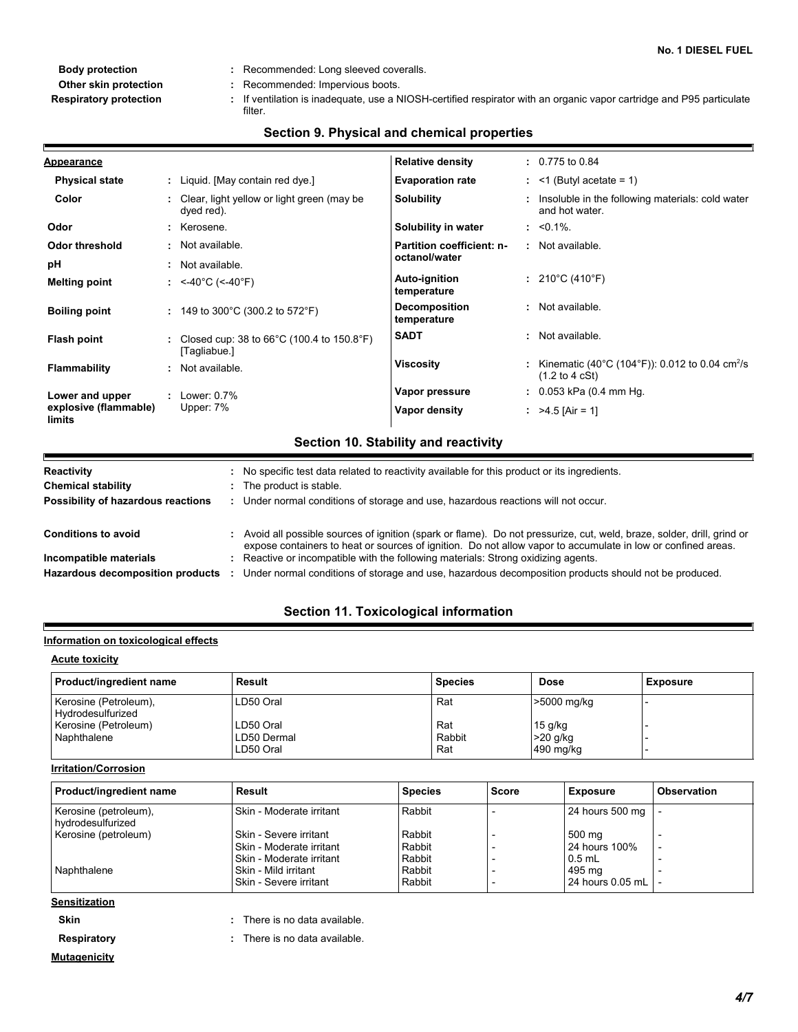- 
- **Other skin protection :** Recommended: Impervious boots.
- If ventilation is inadequate, use a NIOSH-certified respirator with an organic vapor cartridge and P95 particulate **Respiratory protection : Body protection :** Recommended: Long sleeved coveralls. filter.

#### **Physical state Melting point Vapor pressure Relative density Vapor density Solubility** Liquid. [May contain red dye.] **:** <-40°C (<-40°F) **:** 0.775 to 0.84 **:** >4.5 [Air = 1] **:** 0.053 kPa (0.4 mm Hg. **:** : Insoluble in the following materials: cold water and hot water. **Odor** : Kerosene. **pH** Clear, light yellow or light green (may be **:** dyed red). **Color Evaporation rate**  $\qquad$  : <1 (Butyl acetate = 1) **Auto-ignition temperature Flash point** 210°C (410°F) **:** Closed cup: 38 to 66°C (100.4 to 150.8°F) **:** [Tagliabue.] Not available. **:** Not available. **: Viscosity Example 2 EXECUTE:** Kinematic (40°C (104°F)): 0.012 to 0.04 cm<sup>2</sup>/s (1.2 to 4 cSt) **Odor threshold** : Not available. **Partition coefficient: noctanol/water** Not available. **Appearance Boiling point :** 149 to 300°C (300.2 to 572°F) **Flammability :** Not available. **Lower and upper explosive (flammable) limits :** Lower: 0.7% Upper: 7% **SADT :** Not available. **Decomposition temperature :** Not available. **Solubility in water :** <0.1%. **Section 10. Stability and reactivity Conditions to avoid Audity of Avoid all possible sources of ignition (spark or flame). Do not pressurize, cut, weld, braze, solder, drill, grind or Chemical stability Example 20** The product is stable. **Possibility of hazardous reactions :** Under normal conditions of storage and use, hazardous reactions will not occur. **Reactivity :** No specific test data related to reactivity available for this product or its ingredients.

# **Section 9. Physical and chemical properties**

Hazardous decomposition products : Under normal conditions of storage and use, hazardous decomposition products should not be produced. Reactive or incompatible with the following materials: Strong oxidizing agents. **Incompatible materials :**

expose containers to heat or sources of ignition. Do not allow vapor to accumulate in low or confined areas.

# **Section 11. Toxicological information**

# **Information on toxicological effects**

| <b>Acute toxicity</b>                      |             |                |             |                 |  |  |  |
|--------------------------------------------|-------------|----------------|-------------|-----------------|--|--|--|
| Product/ingredient name                    | Result      | <b>Species</b> | <b>Dose</b> | <b>Exposure</b> |  |  |  |
| Kerosine (Petroleum),<br>Hydrodesulfurized | LD50 Oral   | Rat            | >5000 mg/kg |                 |  |  |  |
| Kerosine (Petroleum)                       | LD50 Oral   | Rat            | $15$ g/kg   |                 |  |  |  |
| Naphthalene                                | LD50 Dermal | Rabbit         | $>20$ g/kg  |                 |  |  |  |
|                                            | LD50 Oral   | Rat            | 490 mg/kg   |                 |  |  |  |

#### Kerosine (petroleum), hydrodesulfurized Skin - Moderate irritant | Rabbit | - 24 hours 500 mg Kerosine (petroleum) Skin - Severe irritant Rabbit - 500 mg<br>
Skin - Moderate irritant Rabbit - 124 hours 100% Skin - Moderate irritant Rabbit - 24 hours 100% - Skin - Moderate irritant Rabbit - 0.5 mL - Naphthalene Skin - Mild irritant Rabbit - 495 mg - Skin - Severe irritant | Rabbit | - | 24 hours 0.05 mL **Product/ingredient name Result Result Result Result Result Result Exposure Product/ingredient name Result Sensitization Species**

**Skin Skin :** There is no data available.

**Irritation/Corrosion**

- **Mutagenicity**
- **Respiratory :** There is no data available. There is no data available.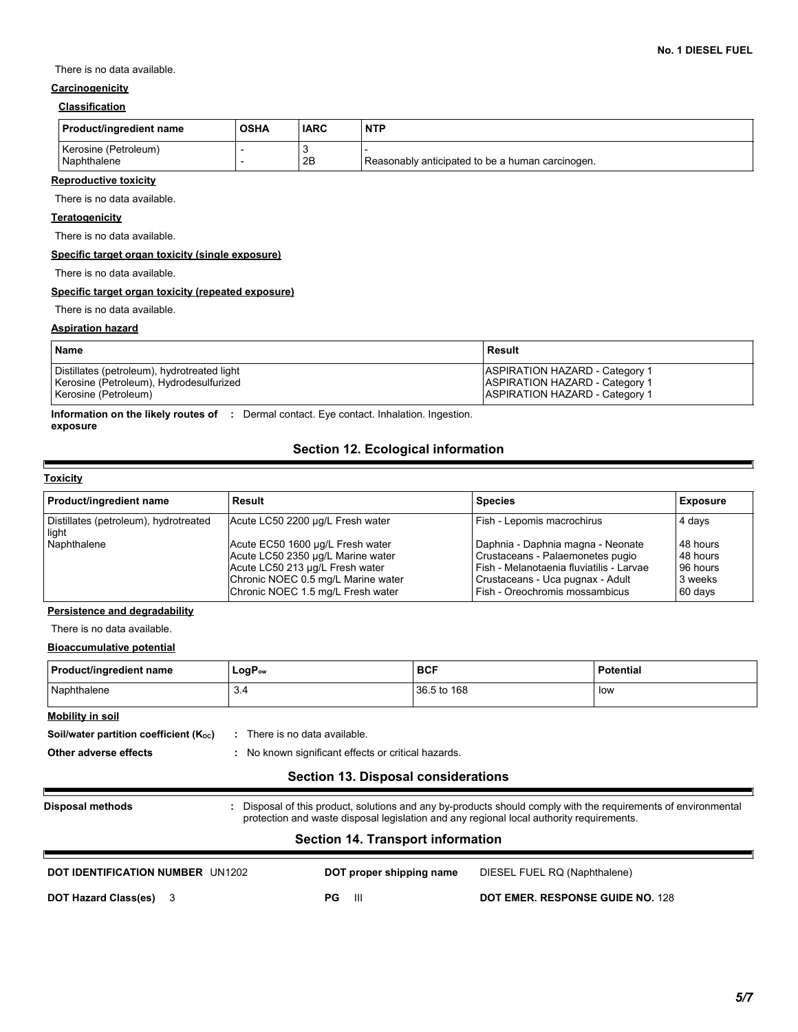There is no data available.

# **Carcinogenicity**

# **Classification**

| Product/ingredient name             | <b>OSHA</b> | <b>IARC</b> | <b>NTP</b>                                       |
|-------------------------------------|-------------|-------------|--------------------------------------------------|
| Kerosine (Petroleum)<br>Naphthalene |             | 2B          | Reasonably anticipated to be a human carcinogen. |

# **Reproductive toxicity**

There is no data available.

# **Teratogenicity**

There is no data available.

#### **Specific target organ toxicity (single exposure)**

There is no data available.

#### **Specific target organ toxicity (repeated exposure)**

There is no data available.

## **Aspiration hazard**

| <b>Name</b>                                 | Result                                |
|---------------------------------------------|---------------------------------------|
| Distillates (petroleum), hydrotreated light | <b>ASPIRATION HAZARD - Category 1</b> |
| Kerosine (Petroleum), Hydrodesulfurized     | <b>ASPIRATION HAZARD - Category 1</b> |
| Kerosine (Petroleum)                        | <b>ASPIRATION HAZARD - Category 1</b> |

**Information on the likely routes of :** Dermal contact. Eye contact. Inhalation. Ingestion. **exposure**

# **Section 12. Ecological information**

#### **Toxicity**

F

| <b>Product/ingredient name</b>                 | Result                                                                                                                                                                              | <b>Species</b>                                                                                                                                                                            | <b>Exposure</b>                                        |
|------------------------------------------------|-------------------------------------------------------------------------------------------------------------------------------------------------------------------------------------|-------------------------------------------------------------------------------------------------------------------------------------------------------------------------------------------|--------------------------------------------------------|
| Distillates (petroleum), hydrotreated<br>light | Acute LC50 2200 µg/L Fresh water                                                                                                                                                    | Fish - Lepomis macrochirus                                                                                                                                                                | 4 days                                                 |
| Naphthalene                                    | Acute EC50 1600 µg/L Fresh water<br>Acute LC50 2350 µg/L Marine water<br>Acute LC50 213 µg/L Fresh water<br>Chronic NOEC 0.5 mg/L Marine water<br>Chronic NOEC 1.5 mg/L Fresh water | Daphnia - Daphnia magna - Neonate<br>Crustaceans - Palaemonetes pugio<br>l Fish - Melanotaenia fluviatilis - Larvae<br>Crustaceans - Uca pugnax - Adult<br>Fish - Oreochromis mossambicus | 48 hours<br>48 hours<br>96 hours<br>3 weeks<br>60 days |

# **Persistence and degradability**

There is no data available.

### **Bioaccumulative potential**

| Product/ingredient name | LogP <sub>ow</sub> | <b>BCF</b>  | Potential |
|-------------------------|--------------------|-------------|-----------|
| Naphthalene             | 3.4                | 36.5 to 168 | low       |

# **Mobility in soil**

**Soil/water partition coefficient (K<sub>oc</sub>) :** There is no data available.

**Other adverse effects :** No known significant effects or critical hazards.

# **Section 13. Disposal considerations**

**Disposal methods :**

Disposal of this product, solutions and any by-products should comply with the requirements of environmental protection and waste disposal legislation and any regional local authority requirements.

# **Section 14. Transport information**

| <b>DOT IDENTIFICATION NUMBER UN1202</b> | DOT proper shipping name | DIESEL FUEL RQ (Naphthalene)     |  |
|-----------------------------------------|--------------------------|----------------------------------|--|
| <b>DOT Hazard Class(es)</b> 3           | PG<br>Ш                  | DOT EMER. RESPONSE GUIDE NO. 128 |  |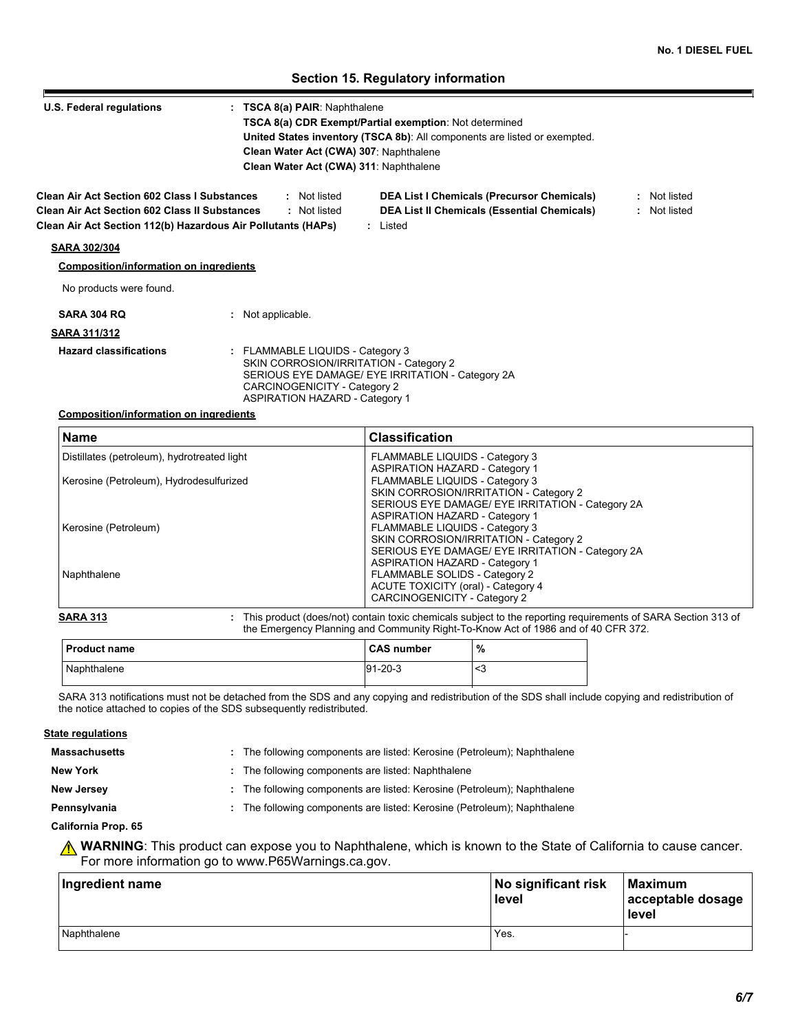# **Section 15. Regulatory information**

| U.S. Federal regulations                                     | : TSCA 8(a) PAIR: Naphthalene                                                                                                                                                                           |  |  |  |
|--------------------------------------------------------------|---------------------------------------------------------------------------------------------------------------------------------------------------------------------------------------------------------|--|--|--|
|                                                              | TSCA 8(a) CDR Exempt/Partial exemption: Not determined<br><b>United States inventory (TSCA 8b):</b> All components are listed or exempted.                                                              |  |  |  |
|                                                              |                                                                                                                                                                                                         |  |  |  |
|                                                              | Clean Water Act (CWA) 307: Naphthalene                                                                                                                                                                  |  |  |  |
|                                                              | Clean Water Act (CWA) 311: Naphthalene                                                                                                                                                                  |  |  |  |
| <b>Clean Air Act Section 602 Class I Substances</b>          | : Not listed<br><b>DEA List I Chemicals (Precursor Chemicals)</b><br>: Not listed                                                                                                                       |  |  |  |
| <b>Clean Air Act Section 602 Class II Substances</b>         | <b>DEA List II Chemicals (Essential Chemicals)</b><br>: Not listed<br>: Not listed                                                                                                                      |  |  |  |
| Clean Air Act Section 112(b) Hazardous Air Pollutants (HAPs) | : Listed                                                                                                                                                                                                |  |  |  |
|                                                              |                                                                                                                                                                                                         |  |  |  |
| <b>SARA 302/304</b>                                          |                                                                                                                                                                                                         |  |  |  |
| <b>Composition/information on ingredients</b>                |                                                                                                                                                                                                         |  |  |  |
|                                                              |                                                                                                                                                                                                         |  |  |  |
| No products were found.                                      |                                                                                                                                                                                                         |  |  |  |
| <b>SARA 304 RO</b>                                           | : Not applicable.                                                                                                                                                                                       |  |  |  |
| <b>SARA 311/312</b>                                          |                                                                                                                                                                                                         |  |  |  |
| <b>Hazard classifications</b>                                | : FLAMMABLE LIQUIDS - Category 3<br>SKIN CORROSION/IRRITATION - Category 2<br>SERIOUS EYE DAMAGE/ EYE IRRITATION - Category 2A<br>CARCINOGENICITY - Category 2<br><b>ASPIRATION HAZARD - Category 1</b> |  |  |  |

### **Composition/information on ingredients**

| <b>Name</b>                                 | <b>Classification</b>                            |
|---------------------------------------------|--------------------------------------------------|
| Distillates (petroleum), hydrotreated light | FLAMMABLE LIQUIDS - Category 3                   |
|                                             | <b>ASPIRATION HAZARD - Category 1</b>            |
| Kerosine (Petroleum), Hydrodesulfurized     | FLAMMABLE LIQUIDS - Category 3                   |
|                                             | SKIN CORROSION/IRRITATION - Category 2           |
|                                             | SERIOUS EYE DAMAGE/ EYE IRRITATION - Category 2A |
|                                             | <b>ASPIRATION HAZARD - Category 1</b>            |
| Kerosine (Petroleum)                        | FLAMMABLE LIQUIDS - Category 3                   |
|                                             | SKIN CORROSION/IRRITATION - Category 2           |
|                                             | SERIOUS EYE DAMAGE/ EYE IRRITATION - Category 2A |
|                                             | <b>ASPIRATION HAZARD - Category 1</b>            |
| Naphthalene                                 | FLAMMABLE SOLIDS - Category 2                    |
|                                             | ACUTE TOXICITY (oral) - Category 4               |
|                                             | CARCINOGENICITY - Category 2                     |

| <b>Product name</b> | <b>CAS number</b> | % |
|---------------------|-------------------|---|
| Naphthalene         | $91 - 20 - 3$     | ີ |

SARA 313 notifications must not be detached from the SDS and any copying and redistribution of the SDS shall include copying and redistribution of the notice attached to copies of the SDS subsequently redistributed.

# **Massachusetts State regulations**

The following components are listed: Kerosine (Petroleum); Naphthalene **:**

**New York :** The following components are listed: Naphthalene

**New Jersey :** The following components are listed: Kerosine (Petroleum); Naphthalene

**Pennsylvania :** The following components are listed: Kerosine (Petroleum); Naphthalene

### **California Prop. 65**

**WARNING**: This product can expose you to Naphthalene, which is known to the State of California to cause cancer. For more information go to www.P65Warnings.ca.gov.

| Ingredient name | No significant risk<br>level | Maximum<br>acceptable dosage<br>level |  |
|-----------------|------------------------------|---------------------------------------|--|
| Naphthalene     | Yes.                         |                                       |  |